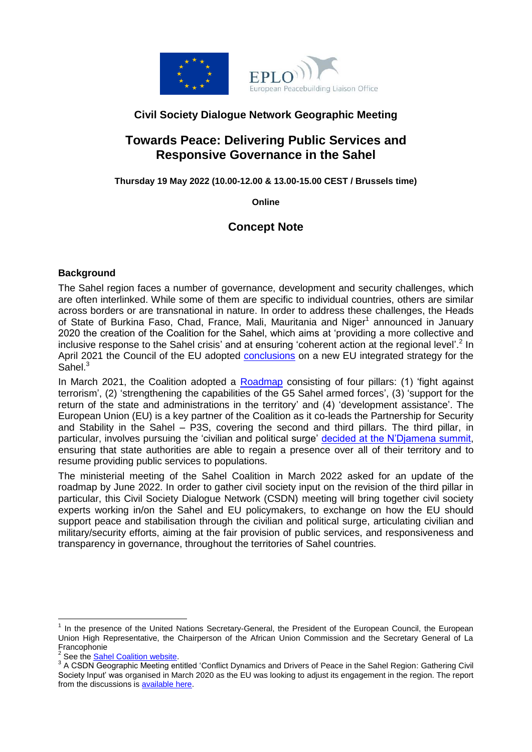

#### **Civil Society Dialogue Network Geographic Meeting**

## **Towards Peace: Delivering Public Services and Responsive Governance in the Sahel**

**Thursday 19 May 2022 (10.00-12.00 & 13.00-15.00 CEST / Brussels time)**

**Online**

### **Concept Note**

#### **Background**

The Sahel region faces a number of governance, development and security challenges, which are often interlinked. While some of them are specific to individual countries, others are similar across borders or are transnational in nature. In order to address these challenges, the Heads of State of Burkina Faso, Chad, France, Mali, Mauritania and Niger<sup>1</sup> announced in January 2020 the creation of the Coalition for the Sahel, which aims at 'providing a more collective and inclusive response to the Sahel crisis' and at ensuring 'coherent action at the regional level'.<sup>2</sup> In April 2021 the Council of the EU adopted [conclusions](https://www.consilium.europa.eu/en/press/press-releases/2021/04/19/sahel-council-approves-conclusions-on-the-eu-s-integrated-strategy-in-the-region/) on a new EU integrated strategy for the Sahel. $3$ 

In March 2021, the Coalition adopted a [Roadmap](https://www.coalition-sahel.org/en/) consisting of four pillars: (1) 'fight against terrorism', (2) 'strengthening the capabilities of the G5 Sahel armed forces', (3) 'support for the return of the state and administrations in the territory' and (4) 'development assistance'. The European Union (EU) is a key partner of the Coalition as it co-leads the Partnership for Security and Stability in the Sahel – P3S, covering the second and third pillars. The third pillar, in particular, involves pursuing the 'civilian and political surge' [decided at the N'Djamena summit,](https://www.elysee.fr/emmanuel-macron/2021/02/16/communique-final-du-sommet-de-ndjamena) ensuring that state authorities are able to regain a presence over all of their territory and to resume providing public services to populations.

The ministerial meeting of the Sahel Coalition in March 2022 asked for an update of the roadmap by June 2022. In order to gather civil society input on the revision of the third pillar in particular, this Civil Society Dialogue Network (CSDN) meeting will bring together civil society experts working in/on the Sahel and EU policymakers, to exchange on how the EU should support peace and stabilisation through the civilian and political surge, articulating civilian and military/security efforts, aiming at the fair provision of public services, and responsiveness and transparency in governance, throughout the territories of Sahel countries.

 $\overline{a}$ 

<sup>1</sup> In the presence of the United Nations Secretary-General, the President of the European Council, the European Union High Representative, the Chairperson of the African Union Commission and the Secretary General of La Francophonie<br><sup>2</sup> See the Seb

See th[e Sahel Coalition website.](https://www.coalition-sahel.org/en/coalition-pour-le-sahel/#coalition)

<sup>&</sup>lt;sup>3</sup> A CSDN Geographic Meeting entitled 'Conflict Dynamics and Drivers of Peace in the Sahel Region: Gathering Civil Society Input' was organised in March 2020 as the EU was looking to adjust its engagement in the region. The report from the discussions i[s available here.](https://eplo.org/wp-content/uploads/2020/03/EN_CSDN_GM_Sahel_March2020_Report.pdf)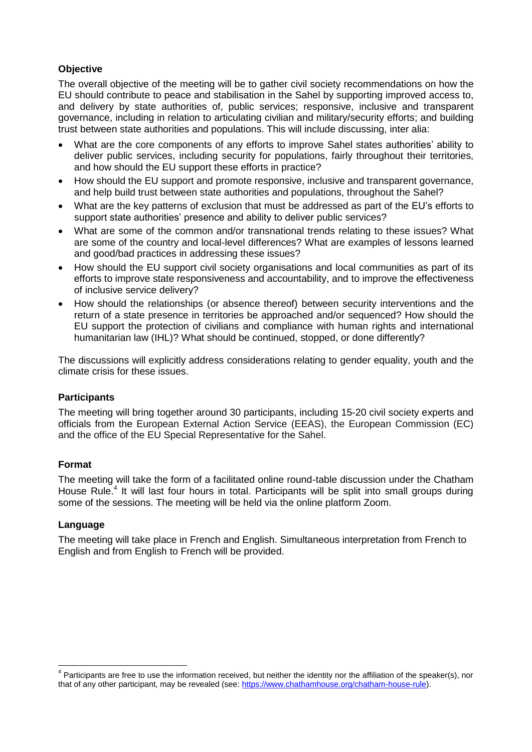#### **Objective**

The overall objective of the meeting will be to gather civil society recommendations on how the EU should contribute to peace and stabilisation in the Sahel by supporting improved access to, and delivery by state authorities of, public services; responsive, inclusive and transparent governance, including in relation to articulating civilian and military/security efforts; and building trust between state authorities and populations. This will include discussing, inter alia:

- What are the core components of any efforts to improve Sahel states authorities' ability to deliver public services, including security for populations, fairly throughout their territories, and how should the EU support these efforts in practice?
- How should the EU support and promote responsive, inclusive and transparent governance, and help build trust between state authorities and populations, throughout the Sahel?
- What are the key patterns of exclusion that must be addressed as part of the EU's efforts to support state authorities' presence and ability to deliver public services?
- What are some of the common and/or transnational trends relating to these issues? What are some of the country and local-level differences? What are examples of lessons learned and good/bad practices in addressing these issues?
- How should the EU support civil society organisations and local communities as part of its efforts to improve state responsiveness and accountability, and to improve the effectiveness of inclusive service delivery?
- How should the relationships (or absence thereof) between security interventions and the return of a state presence in territories be approached and/or sequenced? How should the EU support the protection of civilians and compliance with human rights and international humanitarian law (IHL)? What should be continued, stopped, or done differently?

The discussions will explicitly address considerations relating to gender equality, youth and the climate crisis for these issues.

#### **Participants**

The meeting will bring together around 30 participants, including 15-20 civil society experts and officials from the European External Action Service (EEAS), the European Commission (EC) and the office of the EU Special Representative for the Sahel.

#### **Format**

The meeting will take the form of a facilitated online round-table discussion under the Chatham House Rule.<sup>4</sup> It will last four hours in total. Participants will be split into small groups during some of the sessions. The meeting will be held via the online platform Zoom.

#### **Language**

The meeting will take place in French and English. Simultaneous interpretation from French to English and from English to French will be provided.

erarticipants are free to use the information received, but neither the identity nor the affiliation of the speaker(s), nor<br><sup>4</sup> Participants are free to use the information received, but neither the identity nor the affili that of any other participant, may be revealed (see: [https://www.chathamhouse.org/chatham-house-rule\)](https://www.chathamhouse.org/chatham-house-rule).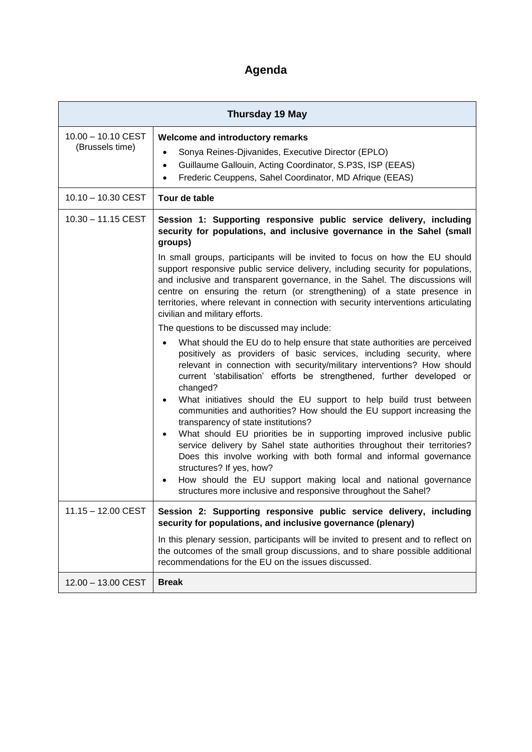# **Agenda**

| <b>Thursday 19 May</b>                |                                                                                                                                                                                                                                                                                                                                                                                                                                                   |
|---------------------------------------|---------------------------------------------------------------------------------------------------------------------------------------------------------------------------------------------------------------------------------------------------------------------------------------------------------------------------------------------------------------------------------------------------------------------------------------------------|
| 10.00 - 10.10 CEST<br>(Brussels time) | Welcome and introductory remarks<br>Sonya Reines-Djivanides, Executive Director (EPLO)<br>Guillaume Gallouin, Acting Coordinator, S.P3S, ISP (EEAS)<br>$\bullet$<br>Frederic Ceuppens, Sahel Coordinator, MD Afrique (EEAS)<br>$\bullet$                                                                                                                                                                                                          |
| 10.10 - 10.30 CEST                    | Tour de table                                                                                                                                                                                                                                                                                                                                                                                                                                     |
| $10.30 - 11.15$ CEST                  | Session 1: Supporting responsive public service delivery, including<br>security for populations, and inclusive governance in the Sahel (small<br>groups)                                                                                                                                                                                                                                                                                          |
|                                       | In small groups, participants will be invited to focus on how the EU should<br>support responsive public service delivery, including security for populations,<br>and inclusive and transparent governance, in the Sahel. The discussions will<br>centre on ensuring the return (or strengthening) of a state presence in<br>territories, where relevant in connection with security interventions articulating<br>civilian and military efforts. |
|                                       | The questions to be discussed may include:                                                                                                                                                                                                                                                                                                                                                                                                        |
|                                       | What should the EU do to help ensure that state authorities are perceived<br>positively as providers of basic services, including security, where<br>relevant in connection with security/military interventions? How should<br>current 'stabilisation' efforts be strengthened, further developed or                                                                                                                                             |
|                                       | changed?<br>What initiatives should the EU support to help build trust between<br>communities and authorities? How should the EU support increasing the<br>transparency of state institutions?                                                                                                                                                                                                                                                    |
|                                       | What should EU priorities be in supporting improved inclusive public<br>service delivery by Sahel state authorities throughout their territories?<br>Does this involve working with both formal and informal governance<br>structures? If yes, how?<br>How should the EU support making local and national governance<br>structures more inclusive and responsive throughout the Sahel?                                                           |
| 11.15 - 12.00 CEST                    | Session 2: Supporting responsive public service delivery, including<br>security for populations, and inclusive governance (plenary)                                                                                                                                                                                                                                                                                                               |
|                                       | In this plenary session, participants will be invited to present and to reflect on<br>the outcomes of the small group discussions, and to share possible additional<br>recommendations for the EU on the issues discussed.                                                                                                                                                                                                                        |
| 12.00 - 13.00 CEST                    | <b>Break</b>                                                                                                                                                                                                                                                                                                                                                                                                                                      |